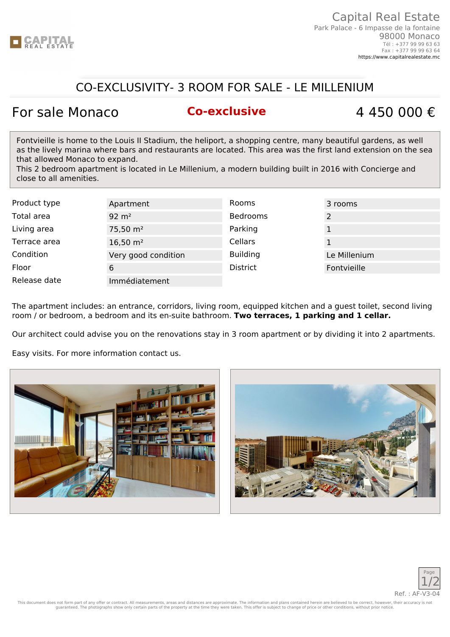

### CO-EXCLUSIVITY- 3 ROOM FOR SALE - LE MILLENIUM

# For sale Monaco **Co-exclusive** 4 450 000 €

Fontvieille is home to the Louis II Stadium, the heliport, a shopping centre, many beautiful gardens, as well as the lively marina where bars and restaurants are located. This area was the first land extension on the sea that allowed Monaco to expand.

This 2 bedroom apartment is located in Le Millenium, a modern building built in 2016 with Concierge and close to all amenities.

| Product type | Apartment           | Rooms           | 3 rooms      |
|--------------|---------------------|-----------------|--------------|
| Total area   | $92 \text{ m}^2$    | <b>Bedrooms</b> |              |
| Living area  | $75,50 \text{ m}^2$ | Parking         |              |
| Terrace area | $16,50 \text{ m}^2$ | Cellars         |              |
| Condition    | Very good condition | <b>Building</b> | Le Millenium |
| Floor        | 6                   | <b>District</b> | Fontvieille  |
| Release date | Immédiatement       |                 |              |

The apartment includes: an entrance, corridors, living room, equipped kitchen and a guest toilet, second living room / or bedroom, a bedroom and its en-suite bathroom. **Two terraces, 1 parking and 1 cellar.**

Our architect could advise you on the renovations stay in 3 room apartment or by dividing it into 2 apartments.

Easy visits. For more information contact us.